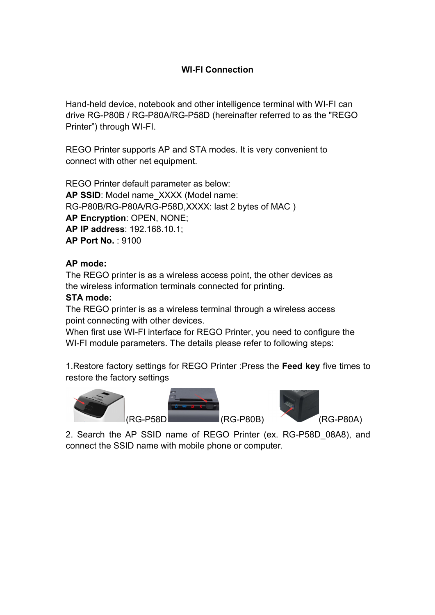## **WI-FI Connection**

Hand-held device, notebook and other intelligence terminal with WI-FI can drive RG-P80B / RG-P80A/RG-P58D (hereinafter referred to as the "REGO Printer") through WI-FI.

REGO Printer supports AP and STA modes. It is very convenient to connect with other net equipment.

REGO Printer default parameter as below: **AP SSID**: Model name\_XXXX (Model name: RG-P80B/RG-P80A/RG-P58D,XXXX: last 2 bytes of MAC ) **AP Encryption**: OPEN, NONE; **AP IP address**: 192.168.10.1; **AP Port No.** : 9100

#### **AP mode:**

The REGO printer is as a wireless access point, the other devices as the wireless information terminals connected for printing.

#### **STA mode:**

The REGO printer is as a wireless terminal through a wireless access point connecting with other devices.

When first use WI-FI interface for REGO Printer, you need to configure the WI-FI module parameters. The details please refer to following steps:

1.Restore factory settings for REGO Printer :Press the **Feed key** five times to restore the factory settings



2. Search the AP SSID name of REGO Printer (ex. RG-P58D\_08A8), and connect the SSID name with mobile phone or computer.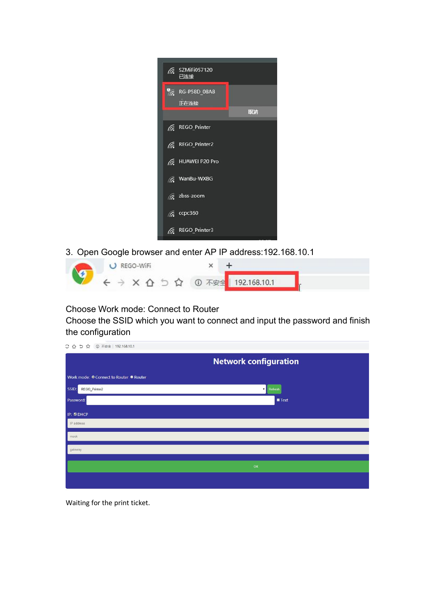| G SZMIFI057120<br>已连接           |
|---------------------------------|
| $\%$ RG-P58D_08A8<br>正在连接<br>取消 |
|                                 |
| <b>REGO_Printer</b>             |
| <b>REGO_Printer2</b>            |
| <b>E</b> HUAWEI P20 Pro         |
| <b>&amp;</b> WanBu-WXBG         |
| G zbss-zoom                     |
| $\sqrt{6}$ ccpc360              |
| <b>REGO_Printer3</b>            |

3. Open Google browser and enter AP IP address:192.168.10.1



### Choose Work mode: Connect to Router

Choose the SSID which you want to connect and input the password and finish the configuration

| ○ △ 5 ☆ ① 不安全   192.168.10.1            |                              |  |  |
|-----------------------------------------|------------------------------|--|--|
|                                         | <b>Network configuration</b> |  |  |
| Work mode: ○ Connect to Router ● Router |                              |  |  |
| SSID:<br>REGO_Printer2                  | Refresh<br>$\mathbf{v}$      |  |  |
| Password:                               | Text                         |  |  |
| IP: ZDHCP                               |                              |  |  |
| IP address                              |                              |  |  |
| mask                                    |                              |  |  |
| gateway                                 |                              |  |  |
|                                         |                              |  |  |
|                                         | OK                           |  |  |
|                                         |                              |  |  |
|                                         |                              |  |  |

Waiting for the print ticket.